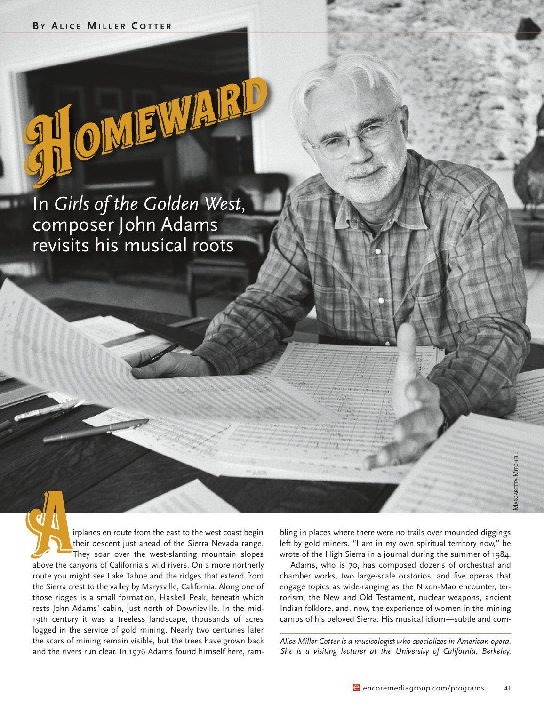in *Girls of the Golden West*, composer John Adams revisits his musical roots

**THOMEWARD** 

They soar over the west coast begins their descent just ahead of the Sierra Nevada range. their descent just ahead of the Sierra Nevada range. They soar over the west-slanting mountain slopes above the canyons of california's wild rivers. On a more northerly route you might see Lake Tahoe and the ridges that extend from the Sierra crest to the valley by Marysville, California. Along one of those ridges is a small formation, Haskell Peak, beneath which rests John Adams' cabin, just north of Downieville. In the mid-19th century it was a treeless landscape, thousands of acres logged in the service of gold mining. Nearly two centuries later the scars of mining remain visible, but the trees have grown back and the rivers run clear. In 1976 Adams found himself here, ram-

bling in places where there were no trails over mounded diggings left by gold miners. "I am in my own spiritual territory now," he wrote of the High Sierra in a journal during the summer of 1984.

Adams, who is 70, has composed dozens of orchestral and chamber works, two large-scale oratorios, and five operas that engage topics as wide-ranging as the Nixon-Mao encounter, terrorism, the New and Old Testament, nuclear weapons, ancient Indian folklore, and, now, the experience of women in the mining camps of his beloved Sierra. His musical idiom—subtle and com-

*Alice Miller Cotter is a musicologist who specializes in American opera. She is a visiting lecturer at the University of California, Berkeley.*

Margaretta Mitchell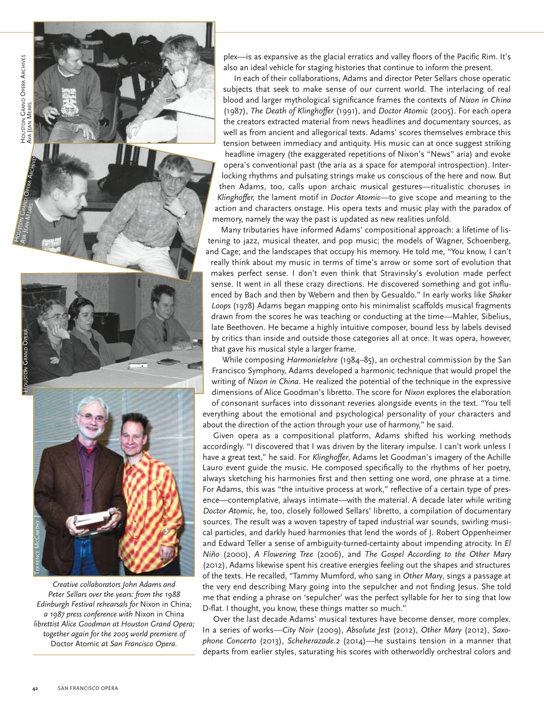



*Creative collaborators John Adams and Peter Sellars over the years: from the 1988 Edinburgh Festival rehearsals for* Nixon in china; *a 1987 press conference with* Nixon in china *librettist Alice Goodman at Houston Grand Opera; together again for the 2005 world premiere of* Doctor atomic *at San Francisco Opera.*

plex-is as expansive as the glacial erratics and valley floors of the Pacific Rim. It's also an ideal vehicle for staging histories that continue to inform the present.

In each of their collaborations, Adams and director Peter Sellars chose operatic subjects that seek to make sense of our current world. The interlacing of real blood and larger mythological significance frames the contexts of *Nixon in China* (1987), *The Death of Klinghoffer* (1991), and *Doctor Atomic* (2005). For each opera the creators extracted material from news headlines and documentary sources, as well as from ancient and allegorical texts. Adams' scores themselves embrace this tension between immediacy and antiquity. his music can at once suggest striking headline imagery (the exaggerated repetitions of Nixon's "News" aria) and evoke opera's conventional past (the aria as a space for atemporal introspection). interlocking rhythms and pulsating strings make us conscious of the here and now. But then adams, too, calls upon archaic musical gestures—ritualistic choruses in *Klinghoffer,* the lament motif in *Doctor Atomic*—to give scope and meaning to the action and characters onstage. His opera texts and music play with the paradox of memory, namely the way the past is updated as new realities unfold.

Many tributaries have informed Adams' compositional approach: a lifetime of listening to jazz, musical theater, and pop music; the models of Wagner, Schoenberg, and cage; and the landscapes that occupy his memory. he told me, "you know, i can't really think about my music in terms of time's arrow or some sort of evolution that makes perfect sense. i don't even think that Stravinsky's evolution made perfect sense. it went in all these crazy directions. he discovered something and got influenced by Bach and then by Webern and then by gesualdo." in early works like *Shaker* Loops (1978) Adams began mapping onto his minimalist scaffolds musical fragments drawn from the scores he was teaching or conducting at the time—Mahler, Sibelius, late Beethoven. he became a highly intuitive composer, bound less by labels devised by critics than inside and outside those categories all at once. it was opera, however, that gave his musical style a larger frame.

While composing *Harmonielehre* (1984–85), an orchestral commission by the San Francisco Symphony, Adams developed a harmonic technique that would propel the writing of *Nixon in China*. He realized the potential of the technique in the expressive dimensions of alice goodman's libretto. the score for *Nixon* explores the elaboration of consonant surfaces into dissonant reveries alongside events in the text. "You tell everything about the emotional and psychological personality of your characters and about the direction of the action through your use of harmony," he said.

Given opera as a compositional platform, Adams shifted his working methods accordingly. "I discovered that I was driven by the literary impulse. I can't work unless I have a great text," he said. For Klinghoffer, Adams let Goodman's imagery of the Achille Lauro event guide the music. He composed specifically to the rhythms of her poetry, always sketching his harmonies first and then setting one word, one phrase at a time. For Adams, this was "the intuitive process at work," reflective of a certain type of presence—contemplative, always intimate—with the material. A decade later while writing *Doctor Atomic*, he, too, closely followed Sellars' libretto, a compilation of documentary sources. the result was a woven tapestry of taped industrial war sounds, swirling musical particles, and darkly hued harmonies that lend the words of J. Robert Oppenheimer and Edward Teller a sense of ambiguity-turned-certainty about impending atrocity. In *El Niño* (2000), *A Flowering Tree* (2006), and *The Gospel According to the Other Mary* (2012), Adams likewise spent his creative energies feeling out the shapes and structures of the texts. he recalled, "tammy Mumford, who sang in *Other Mary*, sings a passage at the very end describing Mary going into the sepulcher and not finding Jesus. She told me that ending a phrase on 'sepulcher' was the perfect syllable for her to sing that low D-flat. I thought, you know, these things matter so much."

Over the last decade Adams' musical textures have become denser, more complex. in a series of works—*City Noir* (2009), *Absolute Jest* (2012), *Other Mary* (2012), *Saxophone Concerto* (2013), *Scheherazade.2* (2014)—he sustains tension in a manner that departs from earlier styles, saturating his scores with otherworldly orchestral colors and